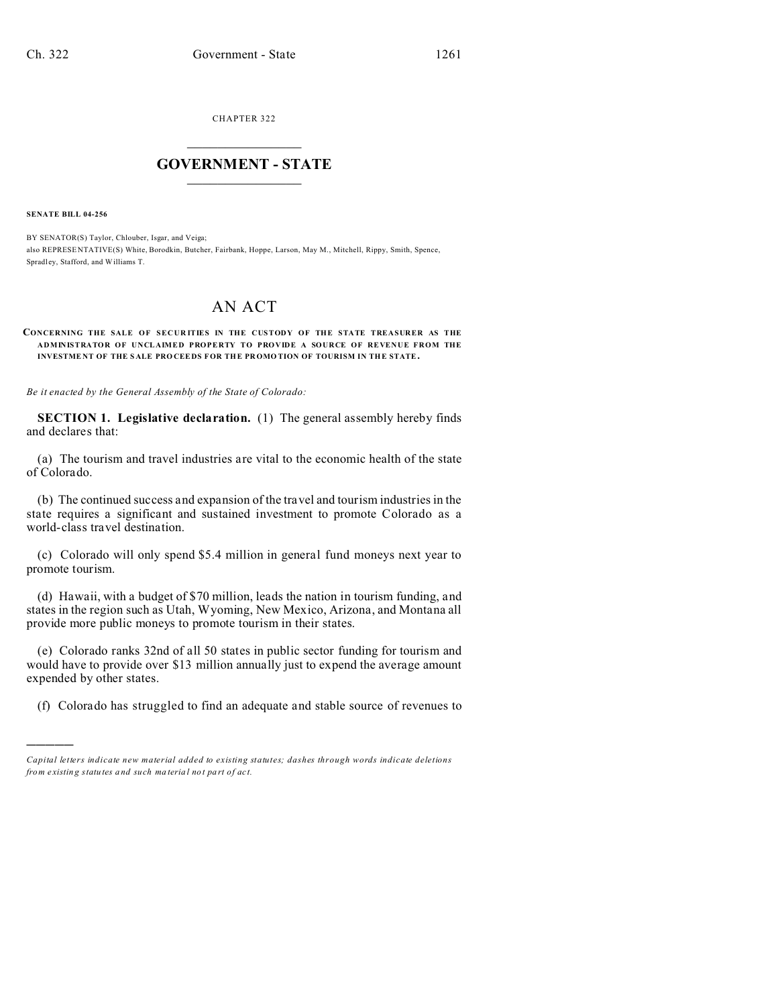CHAPTER 322  $\overline{\phantom{a}}$  , where  $\overline{\phantom{a}}$ 

## **GOVERNMENT - STATE**  $\_$   $\_$

**SENATE BILL 04-256**

)))))

BY SENATOR(S) Taylor, Chlouber, Isgar, and Veiga; also REPRESE NTATIVE(S) White, Borodkin, Butcher, Fairbank, Hoppe, Larson, May M., Mitchell, Rippy, Smith, Spence, Spradl ey, Stafford, and Williams T.

## AN ACT

## CONCERNING THE SALE OF SECURITIES IN THE CUSTODY OF THE STATE TREASURER AS THE **ADMINISTRATOR OF UNCLAIMED PROPERTY TO PROVIDE A SOURCE OF REVENUE FROM THE INVESTME NT OF THE S ALE PRO CEEDS FOR THE PR OMO TION OF TOURISM IN THE STATE.**

*Be it enacted by the General Assembly of the State of Colorado:*

**SECTION 1. Legislative declaration.** (1) The general assembly hereby finds and declares that:

(a) The tourism and travel industries are vital to the economic health of the state of Colorado.

(b) The continued success and expansion of the travel and tourism industries in the state requires a significant and sustained investment to promote Colorado as a world-class travel destination.

(c) Colorado will only spend \$5.4 million in general fund moneys next year to promote tourism.

(d) Hawaii, with a budget of \$70 million, leads the nation in tourism funding, and states in the region such as Utah, Wyoming, New Mexico, Arizona, and Montana all provide more public moneys to promote tourism in their states.

(e) Colorado ranks 32nd of all 50 states in public sector funding for tourism and would have to provide over \$13 million annually just to expend the average amount expended by other states.

(f) Colorado has struggled to find an adequate and stable source of revenues to

*Capital letters indicate new material added to existing statutes; dashes through words indicate deletions from e xistin g statu tes a nd such ma teria l no t pa rt of ac t.*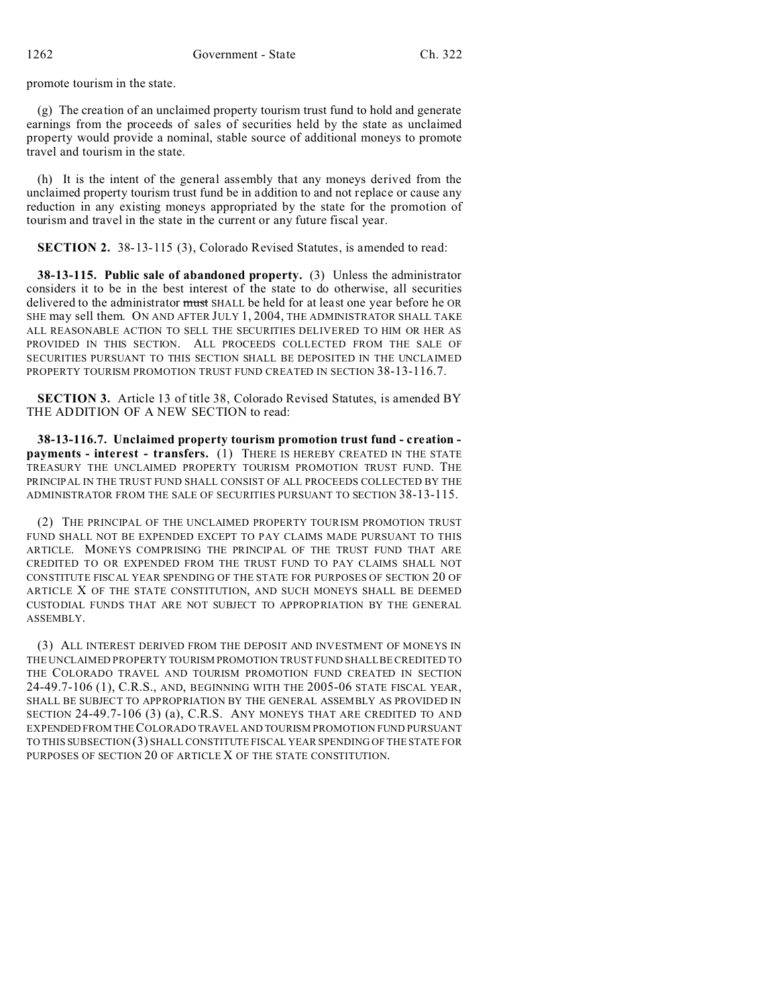promote tourism in the state.

(g) The creation of an unclaimed property tourism trust fund to hold and generate earnings from the proceeds of sales of securities held by the state as unclaimed property would provide a nominal, stable source of additional moneys to promote travel and tourism in the state.

(h) It is the intent of the general assembly that any moneys derived from the unclaimed property tourism trust fund be in addition to and not replace or cause any reduction in any existing moneys appropriated by the state for the promotion of tourism and travel in the state in the current or any future fiscal year.

**SECTION 2.** 38-13-115 (3), Colorado Revised Statutes, is amended to read:

**38-13-115. Public sale of abandoned property.** (3) Unless the administrator considers it to be in the best interest of the state to do otherwise, all securities delivered to the administrator must SHALL be held for at least one year before he OR SHE may sell them. ON AND AFTER JULY 1, 2004, THE ADMINISTRATOR SHALL TAKE ALL REASONABLE ACTION TO SELL THE SECURITIES DELIVERED TO HIM OR HER AS PROVIDED IN THIS SECTION. ALL PROCEEDS COLLECTED FROM THE SALE OF SECURITIES PURSUANT TO THIS SECTION SHALL BE DEPOSITED IN THE UNCLAIMED PROPERTY TOURISM PROMOTION TRUST FUND CREATED IN SECTION 38-13-116.7.

**SECTION 3.** Article 13 of title 38, Colorado Revised Statutes, is amended BY THE ADDITION OF A NEW SECTION to read:

**38-13-116.7. Unclaimed property tourism promotion trust fund - creation payments - interest - transfers.** (1) THERE IS HEREBY CREATED IN THE STATE TREASURY THE UNCLAIMED PROPERTY TOURISM PROMOTION TRUST FUND. THE PRINCIPAL IN THE TRUST FUND SHALL CONSIST OF ALL PROCEEDS COLLECTED BY THE ADMINISTRATOR FROM THE SALE OF SECURITIES PURSUANT TO SECTION 38-13-115.

(2) THE PRINCIPAL OF THE UNCLAIMED PROPERTY TOURISM PROMOTION TRUST FUND SHALL NOT BE EXPENDED EXCEPT TO PAY CLAIMS MADE PURSUANT TO THIS ARTICLE. MONEYS COMPRISING THE PRINCIPAL OF THE TRUST FUND THAT ARE CREDITED TO OR EXPENDED FROM THE TRUST FUND TO PAY CLAIMS SHALL NOT CONSTITUTE FISCAL YEAR SPENDING OF THE STATE FOR PURPOSES OF SECTION 20 OF ARTICLE X OF THE STATE CONSTITUTION, AND SUCH MONEYS SHALL BE DEEMED CUSTODIAL FUNDS THAT ARE NOT SUBJECT TO APPROPRIATION BY THE GENERAL ASSEMBLY.

(3) ALL INTEREST DERIVED FROM THE DEPOSIT AND INVESTMENT OF MONEYS IN THE UNCLAIMED PROPERTY TOURISM PROMOTION TRUST FUND SHALL BE CREDITED TO THE COLORADO TRAVEL AND TOURISM PROMOTION FUND CREATED IN SECTION 24-49.7-106 (1), C.R.S., AND, BEGINNING WITH THE 2005-06 STATE FISCAL YEAR, SHALL BE SUBJECT TO APPROPRIATION BY THE GENERAL ASSEMBLY AS PROVIDED IN SECTION 24-49.7-106 (3) (a), C.R.S. ANY MONEYS THAT ARE CREDITED TO AND EXPENDED FROM THE COLORADO TRAVEL AND TOURISM PROMOTION FUND PURSUANT TO THIS SUBSECTION (3) SHALL CONSTITUTE FISCAL YEAR SPENDING OF THE STATE FOR PURPOSES OF SECTION 20 OF ARTICLE X OF THE STATE CONSTITUTION.